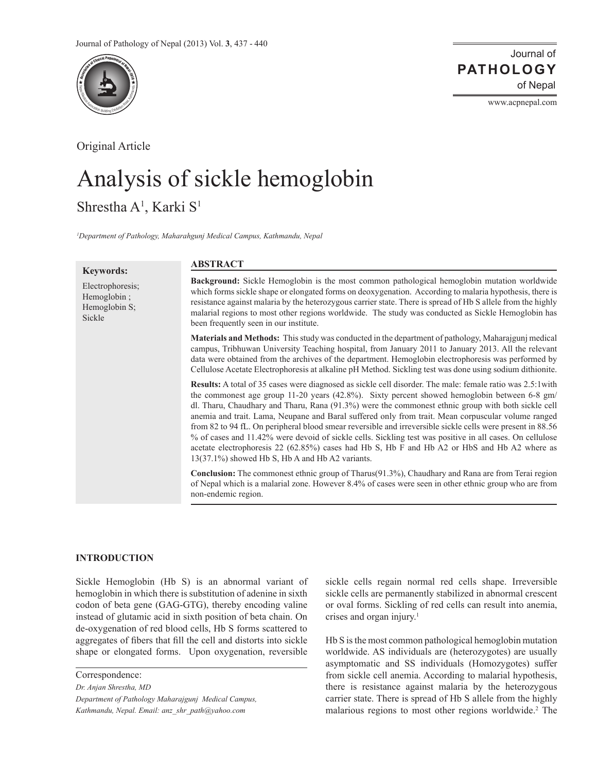

Original Article

# Analysis of sickle hemoglobin Shrestha A<sup>1</sup>, Karki S<sup>1</sup>

*1 Department of Pathology, Maharahgunj Medical Campus, Kathmandu, Nepal*

| <b>Keywords:</b>                                           | <b>ABSTRACT</b>                                                                                                                                                                                                                                                                                                                                                                                                                                                                                                                                                                                                                                                                                                                                                                                         |
|------------------------------------------------------------|---------------------------------------------------------------------------------------------------------------------------------------------------------------------------------------------------------------------------------------------------------------------------------------------------------------------------------------------------------------------------------------------------------------------------------------------------------------------------------------------------------------------------------------------------------------------------------------------------------------------------------------------------------------------------------------------------------------------------------------------------------------------------------------------------------|
| Electrophoresis;<br>Hemoglobin;<br>Hemoglobin S;<br>Sickle | <b>Background:</b> Sickle Hemoglobin is the most common pathological hemoglobin mutation worldwide<br>which forms sickle shape or elongated forms on deoxygenation. According to malaria hypothesis, there is<br>resistance against malaria by the heterozygous carrier state. There is spread of Hb S allele from the highly<br>malarial regions to most other regions worldwide. The study was conducted as Sickle Hemoglobin has<br>been frequently seen in our institute.                                                                                                                                                                                                                                                                                                                           |
|                                                            | Materials and Methods: This study was conducted in the department of pathology, Maharajgunj medical<br>campus, Tribhuwan University Teaching hospital, from January 2011 to January 2013. All the relevant<br>data were obtained from the archives of the department. Hemoglobin electrophoresis was performed by<br>Cellulose Acetate Electrophoresis at alkaline pH Method. Sickling test was done using sodium dithionite.                                                                                                                                                                                                                                                                                                                                                                           |
|                                                            | Results: A total of 35 cases were diagnosed as sickle cell disorder. The male: female ratio was 2.5:1 with<br>the commonest age group 11-20 years $(42.8\%)$ . Sixty percent showed hemoglobin between 6-8 gm/<br>dl. Tharu, Chaudhary and Tharu, Rana (91.3%) were the commonest ethnic group with both sickle cell<br>anemia and trait. Lama, Neupane and Baral suffered only from trait. Mean corpuscular volume ranged<br>from 82 to 94 fL. On peripheral blood smear reversible and irreversible sickle cells were present in 88.56<br>% of cases and 11.42% were devoid of sickle cells. Sickling test was positive in all cases. On cellulose<br>acetate electrophoresis 22 (62.85%) cases had Hb S, Hb F and Hb A2 or HbS and Hb A2 where as<br>13(37.1%) showed Hb S, Hb A and Hb A2 variants. |
|                                                            | <b>Conclusion:</b> The commonest ethnic group of Tharus(91.3%), Chaudhary and Rana are from Terai region<br>of Nepal which is a malarial zone. However 8.4% of cases were seen in other ethnic group who are from<br>non-endemic region.                                                                                                                                                                                                                                                                                                                                                                                                                                                                                                                                                                |

## **INTRODUCTION**

Sickle Hemoglobin (Hb S) is an abnormal variant of hemoglobin in which there is substitution of adenine in sixth codon of beta gene (GAG-GTG), thereby encoding valine instead of glutamic acid in sixth position of beta chain. On de-oxygenation of red blood cells, Hb S forms scattered to aggregates of fibers that fill the cell and distorts into sickle shape or elongated forms. Upon oxygenation, reversible

Correspondence: *Dr. Anjan Shrestha, MD Department of Pathology Maharajgunj Medical Campus, Kathmandu, Nepal. Email: anz\_shr\_path@yahoo.com*

sickle cells regain normal red cells shape. Irreversible sickle cells are permanently stabilized in abnormal crescent or oval forms. Sickling of red cells can result into anemia, crises and organ injury.<sup>1</sup>

www.acpnepal.com

**PATHOLOGY**

Journal of

of Nepal

Hb S is the most common pathological hemoglobin mutation worldwide. AS individuals are (heterozygotes) are usually asymptomatic and SS individuals (Homozygotes) suffer from sickle cell anemia. According to malarial hypothesis, there is resistance against malaria by the heterozygous carrier state. There is spread of Hb S allele from the highly malarious regions to most other regions worldwide.<sup>2</sup> The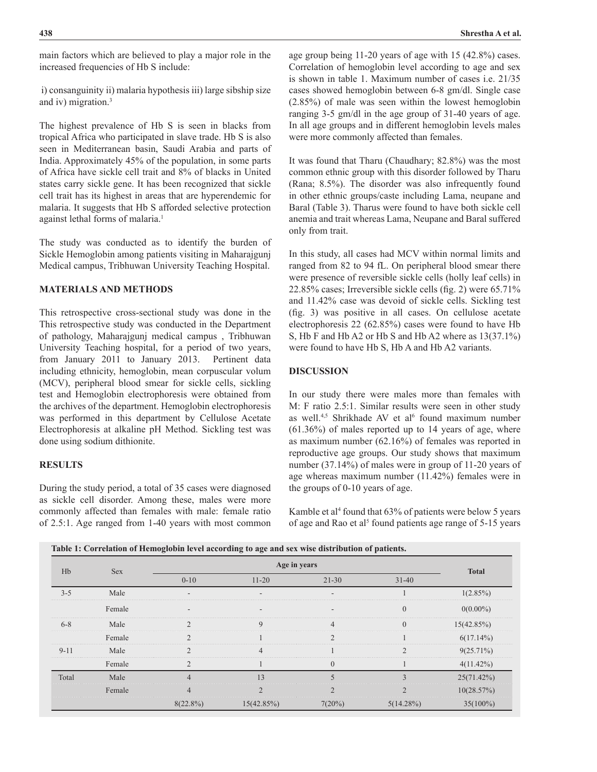main factors which are believed to play a major role in the increased frequencies of Hb S include:

 i) consanguinity ii) malaria hypothesis iii) large sibship size and iv) migration.<sup>3</sup>

The highest prevalence of Hb S is seen in blacks from tropical Africa who participated in slave trade. Hb S is also seen in Mediterranean basin, Saudi Arabia and parts of India. Approximately 45% of the population, in some parts of Africa have sickle cell trait and 8% of blacks in United states carry sickle gene. It has been recognized that sickle cell trait has its highest in areas that are hyperendemic for malaria. It suggests that Hb S afforded selective protection against lethal forms of malaria.<sup>1</sup>

The study was conducted as to identify the burden of Sickle Hemoglobin among patients visiting in Maharajgunj Medical campus, Tribhuwan University Teaching Hospital.

## **MATERIALS AND METHODS**

This retrospective cross-sectional study was done in the This retrospective study was conducted in the Department of pathology, Maharajgunj medical campus , Tribhuwan University Teaching hospital, for a period of two years, from January 2011 to January 2013. Pertinent data including ethnicity, hemoglobin, mean corpuscular volum (MCV), peripheral blood smear for sickle cells, sickling test and Hemoglobin electrophoresis were obtained from the archives of the department. Hemoglobin electrophoresis was performed in this department by Cellulose Acetate Electrophoresis at alkaline pH Method. Sickling test was done using sodium dithionite.

#### **RESULTS**

During the study period, a total of 35 cases were diagnosed as sickle cell disorder. Among these, males were more commonly affected than females with male: female ratio of 2.5:1. Age ranged from 1-40 years with most common age group being 11-20 years of age with 15 (42.8%) cases. Correlation of hemoglobin level according to age and sex is shown in table 1. Maximum number of cases i.e. 21/35 cases showed hemoglobin between 6-8 gm/dl. Single case (2.85%) of male was seen within the lowest hemoglobin ranging 3-5 gm/dl in the age group of 31-40 years of age. In all age groups and in different hemoglobin levels males were more commonly affected than females.

It was found that Tharu (Chaudhary; 82.8%) was the most common ethnic group with this disorder followed by Tharu (Rana; 8.5%). The disorder was also infrequently found in other ethnic groups/caste including Lama, neupane and Baral (Table 3). Tharus were found to have both sickle cell anemia and trait whereas Lama, Neupane and Baral suffered only from trait.

In this study, all cases had MCV within normal limits and ranged from 82 to 94 fL. On peripheral blood smear there were presence of reversible sickle cells (holly leaf cells) in 22.85% cases; Irreversible sickle cells (fig. 2) were 65.71% and 11.42% case was devoid of sickle cells. Sickling test (fig. 3) was positive in all cases. On cellulose acetate electrophoresis 22 (62.85%) cases were found to have Hb S, Hb F and Hb A2 or Hb S and Hb A2 where as 13(37.1%) were found to have Hb S, Hb A and Hb A2 variants.

### **DISCUSSION**

In our study there were males more than females with M: F ratio 2.5:1. Similar results were seen in other study as well.<sup>4,5</sup> Shrikhade AV et al<sup>6</sup> found maximum number (61.36%) of males reported up to 14 years of age, where as maximum number (62.16%) of females was reported in reproductive age groups. Our study shows that maximum number (37.14%) of males were in group of 11-20 years of age whereas maximum number (11.42%) females were in the groups of 0-10 years of age.

Kamble et al<sup>4</sup> found that 63% of patients were below 5 years of age and Rao et al<sup>5</sup> found patients age range of 5-15 years

| Hb<br><b>Sex</b> |        | Age in years   |            |           |              |              |
|------------------|--------|----------------|------------|-----------|--------------|--------------|
|                  |        | $0 - 10$       | $11 - 20$  | $21 - 30$ | $31 - 40$    | <b>Total</b> |
| $3 - 5$          | Male   |                |            |           |              | 1(2.85%)     |
|                  | Female |                |            |           | $\Omega$     | $0(0.00\%)$  |
| $6 - 8$          | Male   |                | 9          | 4         | $\Omega$     | 15(42.85%)   |
|                  | Female |                |            |           |              | 6(17.14%)    |
| $9 - 11$         | Male   |                | 4          |           |              | $9(25.71\%)$ |
|                  | Female |                |            | $\theta$  |              | $4(11.42\%)$ |
| Total            | Male   |                | 13         |           |              | 25(71.42%)   |
|                  | Female | $\overline{4}$ |            |           |              | 10(28.57%)   |
|                  |        | $8(22.8\%)$    | 15(42.85%) | 7(20%)    | $5(14.28\%)$ | $35(100\%)$  |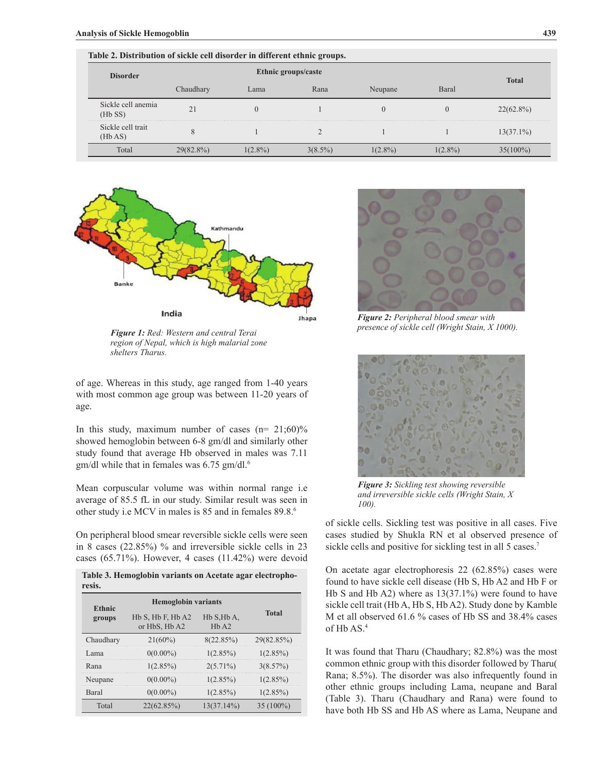| Table 2. Distribution of sickle cell disorder in different ethnic groups. |                     |            |            |            |            |              |
|---------------------------------------------------------------------------|---------------------|------------|------------|------------|------------|--------------|
| <b>Disorder</b>                                                           | Ethnic groups/caste |            |            |            |            | <b>Total</b> |
|                                                                           | Chaudhary           | Lama       | Rana       | Neupane    | Baral      |              |
| Sickle cell anemia<br>(Hb SS)                                             | 21                  |            |            |            |            | $22(62.8\%)$ |
| Sickle cell trait<br>(Hb AS)                                              |                     |            |            |            |            | $13(37.1\%)$ |
| Total                                                                     | $29(82.8\%)$        | $1(2.8\%)$ | $3(8.5\%)$ | $1(2.8\%)$ | $1(2.8\%)$ | $35(100\%)$  |



*region of Nepal, which is high malarial zone shelters Tharus.* 

of age. Whereas in this study, age ranged from 1-40 years with most common age group was between 11-20 years of age.

In this study, maximum number of cases  $(n= 21;60)\%$ showed hemoglobin between 6-8 gm/dl and similarly other study found that average Hb observed in males was 7.11 gm/dl while that in females was 6.75 gm/dl.<sup>6</sup>

Mean corpuscular volume was within normal range i.e average of 85.5 fL in our study. Similar result was seen in other study i.e MCV in males is 85 and in females 89.8.<sup>6</sup>

On peripheral blood smear reversible sickle cells were seen in 8 cases (22.85%) % and irreversible sickle cells in 23 cases (65.71%). However, 4 cases (11.42%) were devoid

| Table 3. Hemoglobin variants on Acetate agar electropho- |  |  |
|----------------------------------------------------------|--|--|
| resis.                                                   |  |  |

| <b>Ethnic</b> |                                            | <b>Hemoglobin variants</b> |              |
|---------------|--------------------------------------------|----------------------------|--------------|
| groups        | $Hb S$ , $Hb F$ , $Hb A2$<br>or HbS, Hb A2 | Hb S, Hb A,<br>HbA2        | <b>Total</b> |
| Chaudhary     | $21(60\%)$                                 | 8(22.85%)                  | 29(82.85%)   |
| ama           | $0(0.00\%)$                                | 1(2.85%)                   | 1(2.85%)     |
| Rana          | 1(2.85%)                                   | $2(5.71\%)$                | 3(8.57%)     |
| Neupane       | $0(0.00\%)$                                | 1(2.85%)                   | $1(2.85\%)$  |
| Baral         | $0(0.00\%)$                                | 1(2.85%)                   | 1(2.85%)     |
| Total         | 22(62.85%)                                 | $13(37.14\%)$              | $35(100\%)$  |



*Figure 2: Peripheral blood smear with presence of sickle cell (Wright Stain, X 1000). Figure 1: Red: Western and central Terai* 



*Figure 3: Sickling test showing reversible and irreversible sickle cells (Wright Stain, X 100).*

of sickle cells. Sickling test was positive in all cases. Five cases studied by Shukla RN et al observed presence of sickle cells and positive for sickling test in all 5 cases.<sup>7</sup>

On acetate agar electrophoresis 22 (62.85%) cases were found to have sickle cell disease (Hb S, Hb A2 and Hb F or Hb S and Hb A2) where as 13(37.1%) were found to have sickle cell trait (Hb A, Hb S, Hb A2). Study done by Kamble M et all observed 61.6 % cases of Hb SS and 38.4% cases of Hb AS.<sup>4</sup>

It was found that Tharu (Chaudhary; 82.8%) was the most common ethnic group with this disorder followed by Tharu( Rana; 8.5%). The disorder was also infrequently found in other ethnic groups including Lama, neupane and Baral (Table 3). Tharu (Chaudhary and Rana) were found to have both Hb SS and Hb AS where as Lama, Neupane and